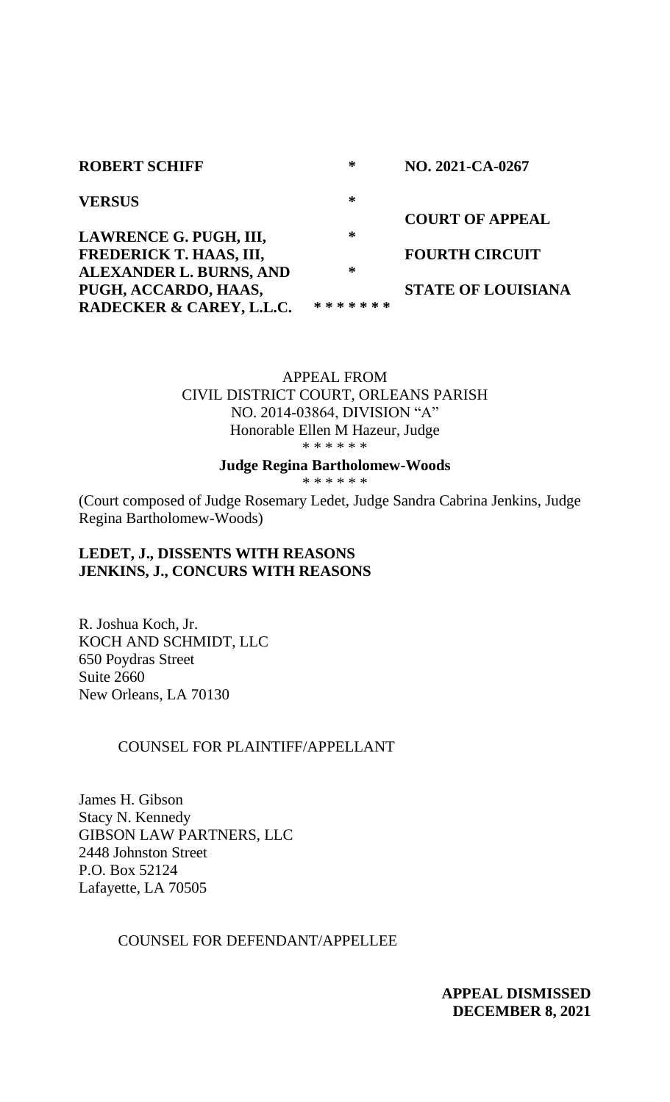| <b>ROBERT SCHIFF</b>     | ∗             | NO. 2021-CA-0267          |
|--------------------------|---------------|---------------------------|
| <b>VERSUS</b>            | ∗             |                           |
|                          |               | <b>COURT OF APPEAL</b>    |
| LAWRENCE G. PUGH, III,   | ∗             |                           |
| FREDERICK T. HAAS, III,  |               | <b>FOURTH CIRCUIT</b>     |
| ALEXANDER L. BURNS, AND  | ∗             |                           |
| PUGH, ACCARDO, HAAS,     |               | <b>STATE OF LOUISIANA</b> |
| RADECKER & CAREY, L.L.C. | * * * * * * * |                           |

APPEAL FROM CIVIL DISTRICT COURT, ORLEANS PARISH NO. 2014-03864, DIVISION "A" Honorable Ellen M Hazeur, Judge \* \* \* \* \* \*

#### **Judge Regina Bartholomew-Woods**

\* \* \* \* \* \*

(Court composed of Judge Rosemary Ledet, Judge Sandra Cabrina Jenkins, Judge Regina Bartholomew-Woods)

# **LEDET, J., DISSENTS WITH REASONS JENKINS, J., CONCURS WITH REASONS**

R. Joshua Koch, Jr. KOCH AND SCHMIDT, LLC 650 Poydras Street Suite 2660 New Orleans, LA 70130

## COUNSEL FOR PLAINTIFF/APPELLANT

James H. Gibson Stacy N. Kennedy GIBSON LAW PARTNERS, LLC 2448 Johnston Street P.O. Box 52124 Lafayette, LA 70505

## COUNSEL FOR DEFENDANT/APPELLEE

**APPEAL DISMISSED DECEMBER 8, 2021**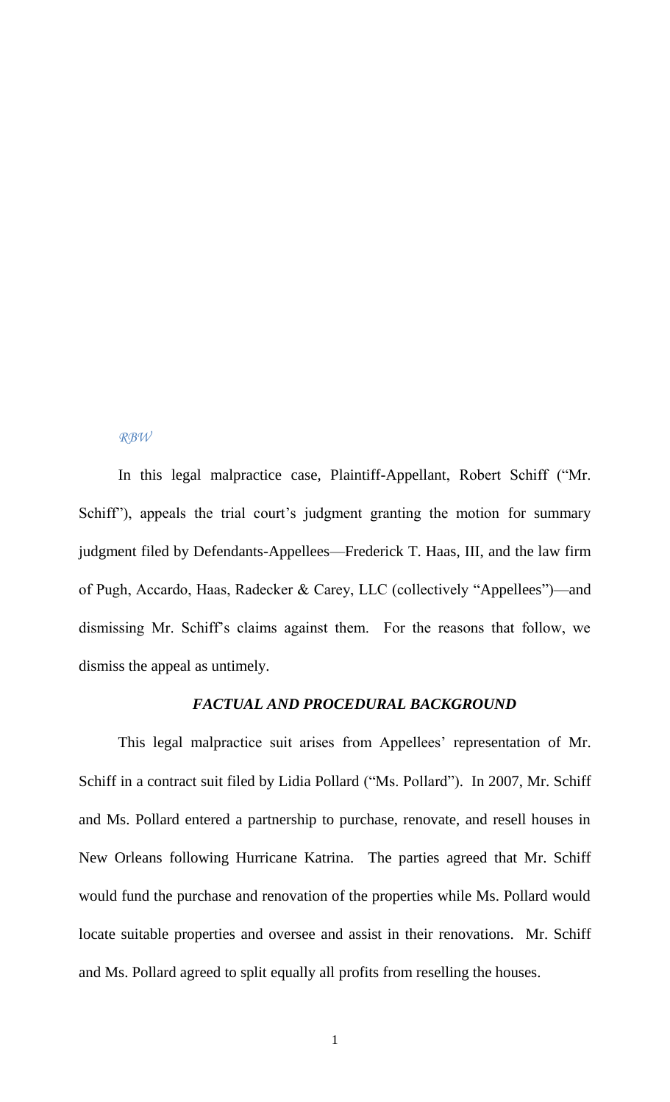#### *RBW*

In this legal malpractice case, Plaintiff-Appellant, Robert Schiff ("Mr. Schiff"), appeals the trial court's judgment granting the motion for summary judgment filed by Defendants-Appellees—Frederick T. Haas, III, and the law firm of Pugh, Accardo, Haas, Radecker & Carey, LLC (collectively "Appellees")—and dismissing Mr. Schiff's claims against them. For the reasons that follow, we dismiss the appeal as untimely.

#### *FACTUAL AND PROCEDURAL BACKGROUND*

This legal malpractice suit arises from Appellees' representation of Mr. Schiff in a contract suit filed by Lidia Pollard ("Ms. Pollard"). In 2007, Mr. Schiff and Ms. Pollard entered a partnership to purchase, renovate, and resell houses in New Orleans following Hurricane Katrina. The parties agreed that Mr. Schiff would fund the purchase and renovation of the properties while Ms. Pollard would locate suitable properties and oversee and assist in their renovations. Mr. Schiff and Ms. Pollard agreed to split equally all profits from reselling the houses.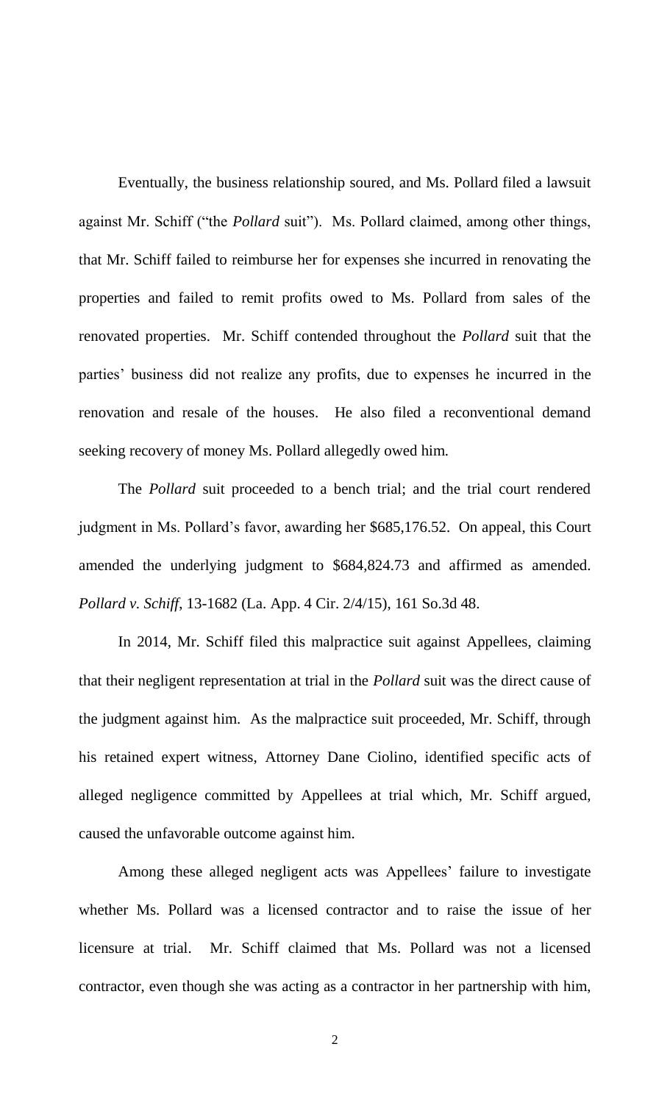Eventually, the business relationship soured, and Ms. Pollard filed a lawsuit against Mr. Schiff ("the *Pollard* suit"). Ms. Pollard claimed, among other things, that Mr. Schiff failed to reimburse her for expenses she incurred in renovating the properties and failed to remit profits owed to Ms. Pollard from sales of the renovated properties. Mr. Schiff contended throughout the *Pollard* suit that the parties' business did not realize any profits, due to expenses he incurred in the renovation and resale of the houses. He also filed a reconventional demand seeking recovery of money Ms. Pollard allegedly owed him.

The *Pollard* suit proceeded to a bench trial; and the trial court rendered judgment in Ms. Pollard's favor, awarding her \$685,176.52. On appeal, this Court amended the underlying judgment to \$684,824.73 and affirmed as amended. *Pollard v. Schiff*, 13-1682 (La. App. 4 Cir. 2/4/15), 161 So.3d 48.

In 2014, Mr. Schiff filed this malpractice suit against Appellees, claiming that their negligent representation at trial in the *Pollard* suit was the direct cause of the judgment against him. As the malpractice suit proceeded, Mr. Schiff, through his retained expert witness, Attorney Dane Ciolino, identified specific acts of alleged negligence committed by Appellees at trial which, Mr. Schiff argued, caused the unfavorable outcome against him.

Among these alleged negligent acts was Appellees' failure to investigate whether Ms. Pollard was a licensed contractor and to raise the issue of her licensure at trial. Mr. Schiff claimed that Ms. Pollard was not a licensed contractor, even though she was acting as a contractor in her partnership with him,

2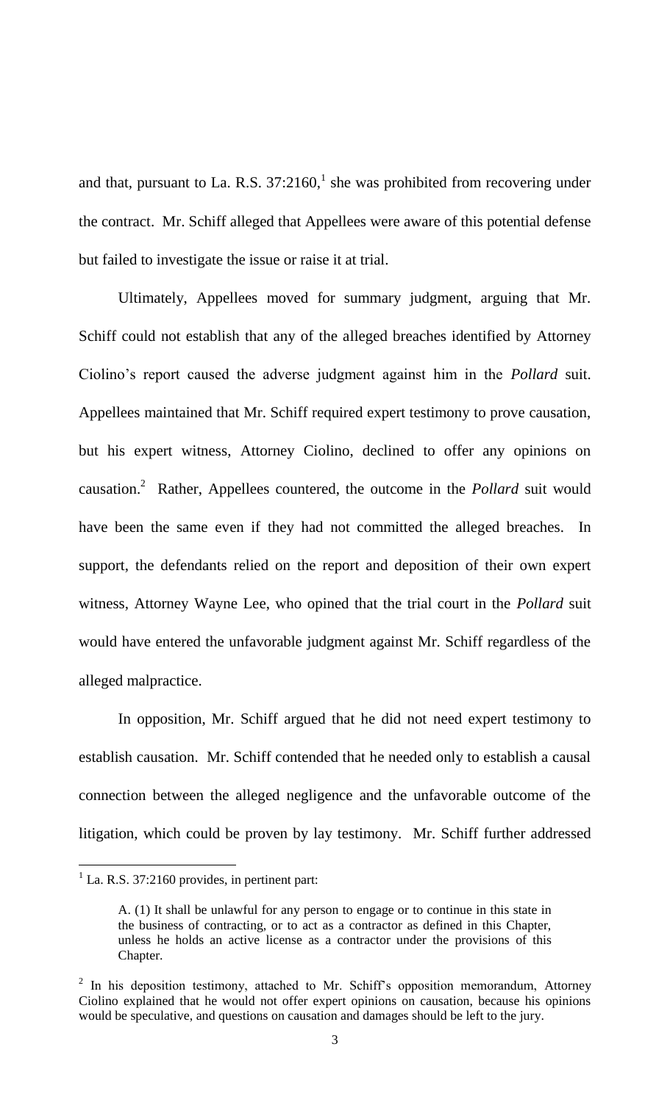and that, pursuant to La. R.S.  $37:2160$ , she was prohibited from recovering under the contract. Mr. Schiff alleged that Appellees were aware of this potential defense but failed to investigate the issue or raise it at trial.

Ultimately, Appellees moved for summary judgment, arguing that Mr. Schiff could not establish that any of the alleged breaches identified by Attorney Ciolino's report caused the adverse judgment against him in the *Pollard* suit. Appellees maintained that Mr. Schiff required expert testimony to prove causation, but his expert witness, Attorney Ciolino, declined to offer any opinions on causation.<sup>2</sup> Rather, Appellees countered, the outcome in the *Pollard* suit would have been the same even if they had not committed the alleged breaches. In support, the defendants relied on the report and deposition of their own expert witness, Attorney Wayne Lee, who opined that the trial court in the *Pollard* suit would have entered the unfavorable judgment against Mr. Schiff regardless of the alleged malpractice.

In opposition, Mr. Schiff argued that he did not need expert testimony to establish causation. Mr. Schiff contended that he needed only to establish a causal connection between the alleged negligence and the unfavorable outcome of the litigation, which could be proven by lay testimony. Mr. Schiff further addressed

 $\overline{a}$ 

 $<sup>1</sup>$  La. R.S. 37:2160 provides, in pertinent part:</sup>

A. (1) It shall be unlawful for any person to engage or to continue in this state in the business of contracting, or to act as a contractor as defined in this Chapter, unless he holds an active license as a contractor under the provisions of this Chapter.

 $2$  In his deposition testimony, attached to Mr. Schiff's opposition memorandum, Attorney Ciolino explained that he would not offer expert opinions on causation, because his opinions would be speculative, and questions on causation and damages should be left to the jury.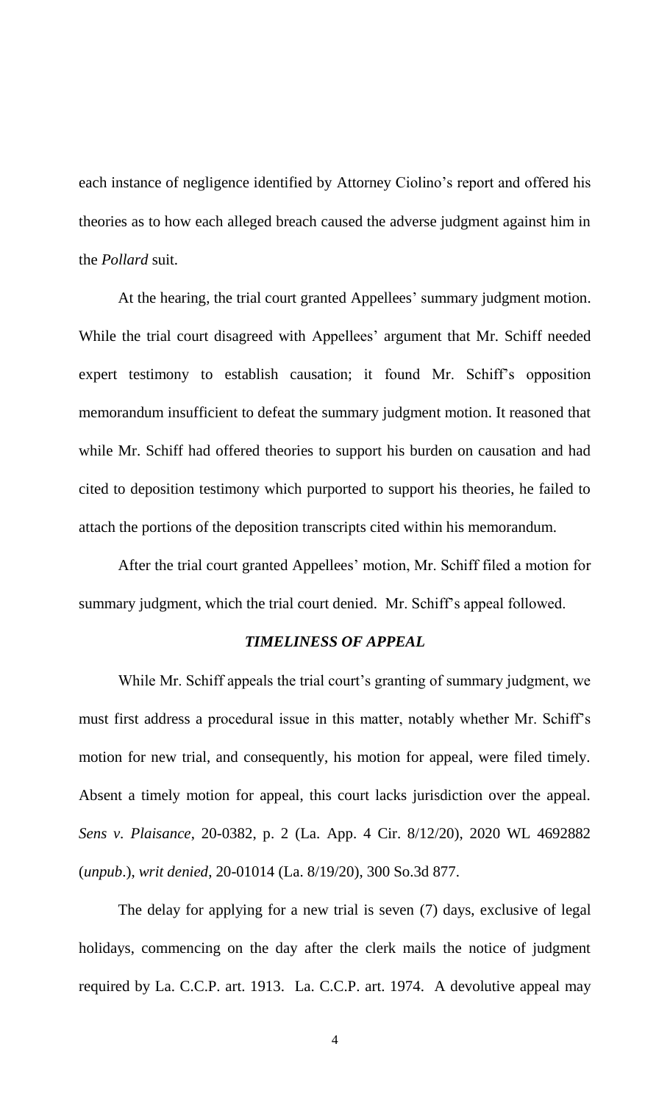each instance of negligence identified by Attorney Ciolino's report and offered his theories as to how each alleged breach caused the adverse judgment against him in the *Pollard* suit.

At the hearing, the trial court granted Appellees' summary judgment motion. While the trial court disagreed with Appellees' argument that Mr. Schiff needed expert testimony to establish causation; it found Mr. Schiff's opposition memorandum insufficient to defeat the summary judgment motion. It reasoned that while Mr. Schiff had offered theories to support his burden on causation and had cited to deposition testimony which purported to support his theories, he failed to attach the portions of the deposition transcripts cited within his memorandum.

After the trial court granted Appellees' motion, Mr. Schiff filed a motion for summary judgment, which the trial court denied. Mr. Schiff's appeal followed.

# *TIMELINESS OF APPEAL*

While Mr. Schiff appeals the trial court's granting of summary judgment, we must first address a procedural issue in this matter, notably whether Mr. Schiff's motion for new trial, and consequently, his motion for appeal, were filed timely. Absent a timely motion for appeal, this court lacks jurisdiction over the appeal. *Sens v. Plaisance*, 20-0382, p. 2 (La. App. 4 Cir. 8/12/20), 2020 WL 4692882 (*unpub*.), *writ denied*, 20-01014 (La. 8/19/20), 300 So.3d 877.

The delay for applying for a new trial is seven (7) days, exclusive of legal holidays, commencing on the day after the clerk mails the notice of judgment required by La. C.C.P. art. 1913. La. C.C.P. art. 1974. A devolutive appeal may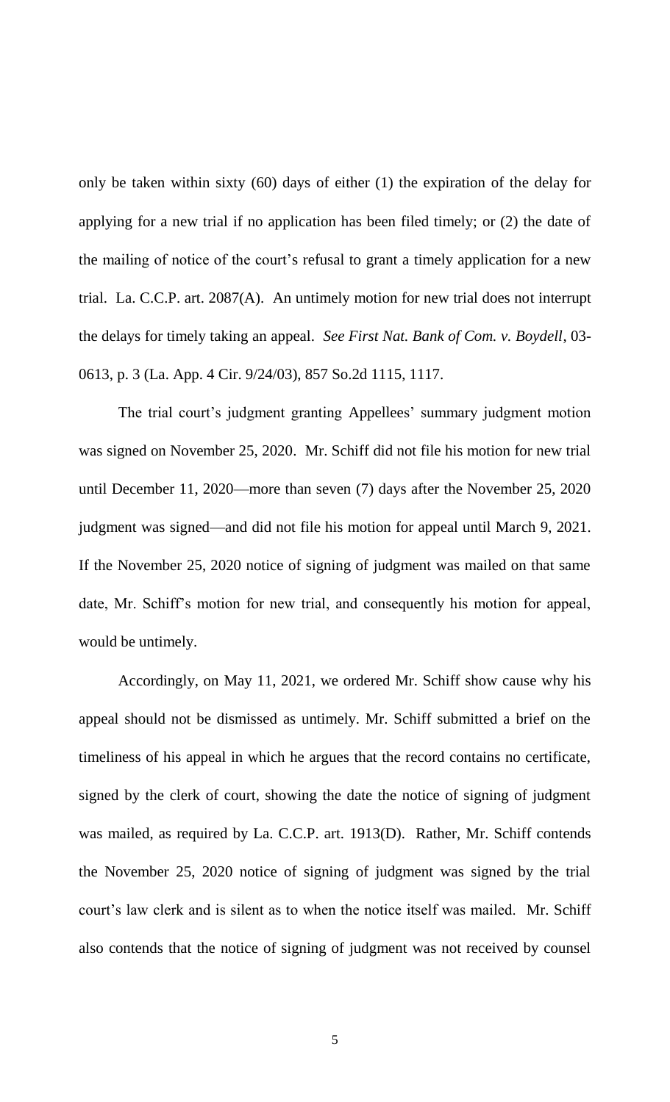only be taken within sixty (60) days of either (1) the expiration of the delay for applying for a new trial if no application has been filed timely; or (2) the date of the mailing of notice of the court's refusal to grant a timely application for a new trial. La. C.C.P. art. 2087(A). An untimely motion for new trial does not interrupt the delays for timely taking an appeal. *See First Nat. Bank of Com. v. Boydell*, 03- 0613, p. 3 (La. App. 4 Cir. 9/24/03), 857 So.2d 1115, 1117.

The trial court's judgment granting Appellees' summary judgment motion was signed on November 25, 2020. Mr. Schiff did not file his motion for new trial until December 11, 2020—more than seven (7) days after the November 25, 2020 judgment was signed—and did not file his motion for appeal until March 9, 2021. If the November 25, 2020 notice of signing of judgment was mailed on that same date, Mr. Schiff's motion for new trial, and consequently his motion for appeal, would be untimely.

Accordingly, on May 11, 2021, we ordered Mr. Schiff show cause why his appeal should not be dismissed as untimely. Mr. Schiff submitted a brief on the timeliness of his appeal in which he argues that the record contains no certificate, signed by the clerk of court, showing the date the notice of signing of judgment was mailed, as required by La. C.C.P. art. 1913(D). Rather, Mr. Schiff contends the November 25, 2020 notice of signing of judgment was signed by the trial court's law clerk and is silent as to when the notice itself was mailed. Mr. Schiff also contends that the notice of signing of judgment was not received by counsel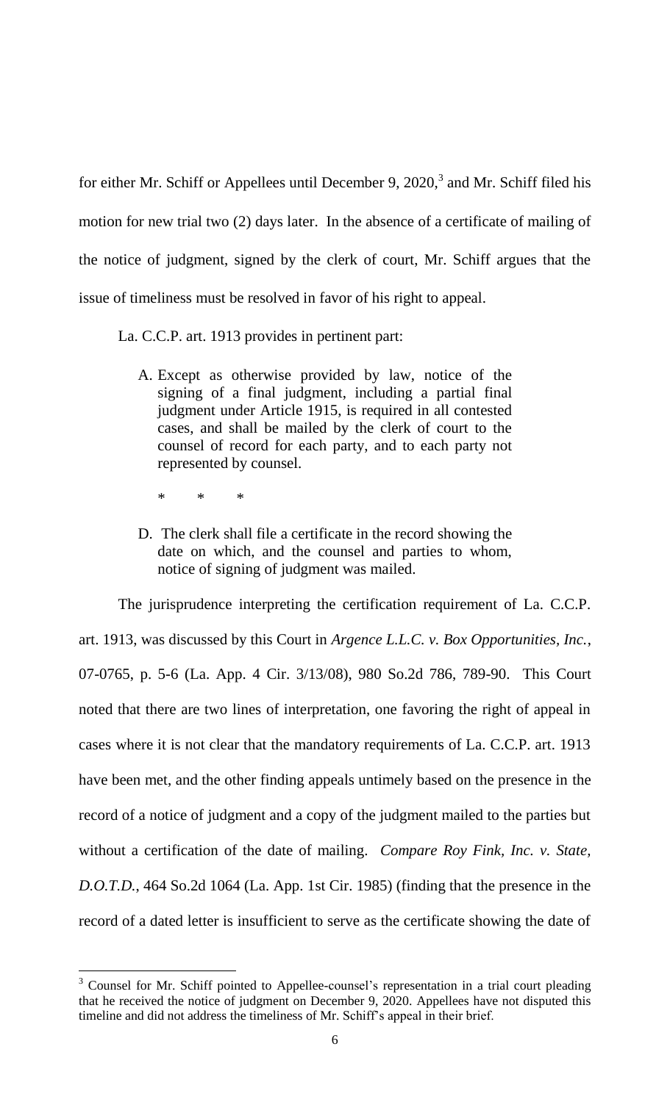for either Mr. Schiff or Appellees until December 9, 2020,<sup>3</sup> and Mr. Schiff filed his motion for new trial two (2) days later. In the absence of a certificate of mailing of the notice of judgment, signed by the clerk of court, Mr. Schiff argues that the issue of timeliness must be resolved in favor of his right to appeal.

La. C.C.P. art. 1913 provides in pertinent part:

- A. Except as otherwise provided by law, notice of the signing of a final judgment, including a partial final judgment under Article 1915, is required in all contested cases, and shall be mailed by the clerk of court to the counsel of record for each party, and to each party not represented by counsel.
	- \* \* \*

l

D. The clerk shall file a certificate in the record showing the date on which, and the counsel and parties to whom, notice of signing of judgment was mailed.

The jurisprudence interpreting the certification requirement of La. C.C.P. art. 1913, was discussed by this Court in *Argence L.L.C. v. Box Opportunities, Inc.*, 07-0765, p. 5-6 (La. App. 4 Cir. 3/13/08), 980 So.2d 786, 789-90. This Court noted that there are two lines of interpretation, one favoring the right of appeal in cases where it is not clear that the mandatory requirements of La. C.C.P. art. 1913 have been met, and the other finding appeals untimely based on the presence in the record of a notice of judgment and a copy of the judgment mailed to the parties but without a certification of the date of mailing. *Compare Roy Fink, Inc. v. State, D.O.T.D.*, 464 So.2d 1064 (La. App. 1st Cir. 1985) (finding that the presence in the record of a dated letter is insufficient to serve as the certificate showing the date of

<sup>&</sup>lt;sup>3</sup> Counsel for Mr. Schiff pointed to Appellee-counsel's representation in a trial court pleading that he received the notice of judgment on December 9, 2020. Appellees have not disputed this timeline and did not address the timeliness of Mr. Schiff's appeal in their brief.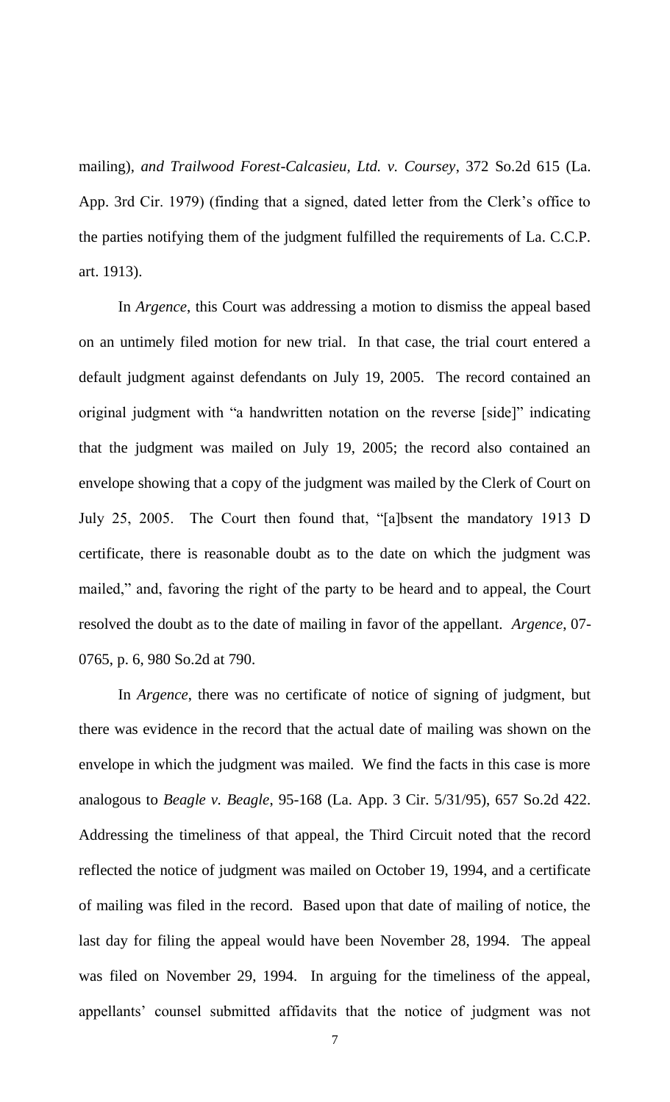mailing), *and Trailwood Forest-Calcasieu, Ltd. v. Coursey*, 372 So.2d 615 (La. App. 3rd Cir. 1979) (finding that a signed, dated letter from the Clerk's office to the parties notifying them of the judgment fulfilled the requirements of La. C.C.P. art. 1913).

In *Argence*, this Court was addressing a motion to dismiss the appeal based on an untimely filed motion for new trial. In that case, the trial court entered a default judgment against defendants on July 19, 2005. The record contained an original judgment with "a handwritten notation on the reverse [side]" indicating that the judgment was mailed on July 19, 2005; the record also contained an envelope showing that a copy of the judgment was mailed by the Clerk of Court on July 25, 2005. The Court then found that, "[a]bsent the mandatory 1913 D certificate, there is reasonable doubt as to the date on which the judgment was mailed," and, favoring the right of the party to be heard and to appeal, the Court resolved the doubt as to the date of mailing in favor of the appellant. *Argence*, 07- 0765, p. 6, 980 So.2d at 790.

In *Argence*, there was no certificate of notice of signing of judgment, but there was evidence in the record that the actual date of mailing was shown on the envelope in which the judgment was mailed. We find the facts in this case is more analogous to *Beagle v. Beagle*, 95-168 (La. App. 3 Cir. 5/31/95), 657 So.2d 422. Addressing the timeliness of that appeal, the Third Circuit noted that the record reflected the notice of judgment was mailed on October 19, 1994, and a certificate of mailing was filed in the record. Based upon that date of mailing of notice, the last day for filing the appeal would have been November 28, 1994. The appeal was filed on November 29, 1994. In arguing for the timeliness of the appeal, appellants' counsel submitted affidavits that the notice of judgment was not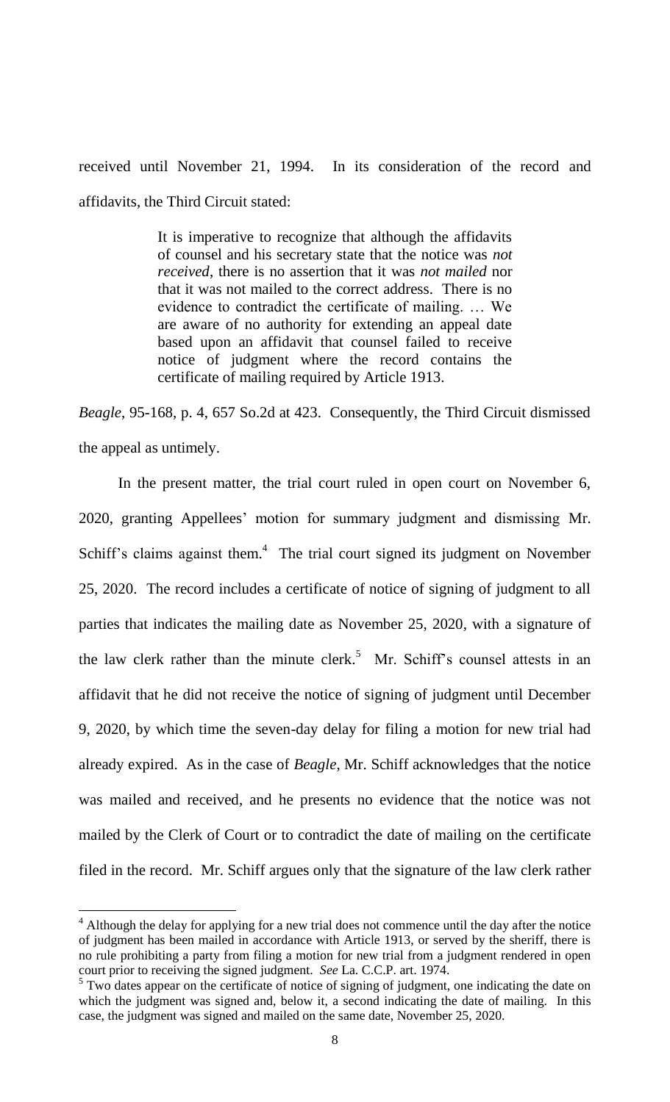received until November 21, 1994. In its consideration of the record and affidavits, the Third Circuit stated:

> It is imperative to recognize that although the affidavits of counsel and his secretary state that the notice was *not received*, there is no assertion that it was *not mailed* nor that it was not mailed to the correct address. There is no evidence to contradict the certificate of mailing. … We are aware of no authority for extending an appeal date based upon an affidavit that counsel failed to receive notice of judgment where the record contains the certificate of mailing required by Article 1913.

*Beagle*, 95-168, p. 4, 657 So.2d at 423. Consequently, the Third Circuit dismissed the appeal as untimely.

In the present matter, the trial court ruled in open court on November 6, 2020, granting Appellees' motion for summary judgment and dismissing Mr. Schiff's claims against them. $4$  The trial court signed its judgment on November 25, 2020. The record includes a certificate of notice of signing of judgment to all parties that indicates the mailing date as November 25, 2020, with a signature of the law clerk rather than the minute clerk.<sup>5</sup> Mr. Schiff's counsel attests in an affidavit that he did not receive the notice of signing of judgment until December 9, 2020, by which time the seven-day delay for filing a motion for new trial had already expired. As in the case of *Beagle*, Mr. Schiff acknowledges that the notice was mailed and received, and he presents no evidence that the notice was not mailed by the Clerk of Court or to contradict the date of mailing on the certificate filed in the record. Mr. Schiff argues only that the signature of the law clerk rather

l

 $4$  Although the delay for applying for a new trial does not commence until the day after the notice of judgment has been mailed in accordance with Article 1913, or served by the sheriff, there is no rule prohibiting a party from filing a motion for new trial from a judgment rendered in open court prior to receiving the signed judgment. *See* La. C.C.P. art. 1974. 5 Two dates appear on the certificate of notice of signing of judgment, one indicating the date on

which the judgment was signed and, below it, a second indicating the date of mailing. In this case, the judgment was signed and mailed on the same date, November 25, 2020.